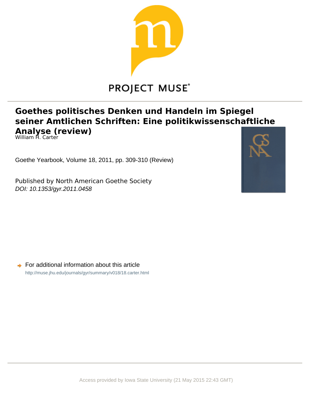

## **PROJECT MUSE®**

## **Goethes politisches Denken und Handeln im Spiegel** seiner Amtlichen Schriften: Eine politikwissenschaftliche **Analyse (review)**

William **Fl**. Carter

Goethe Yearbook, Volume 18, 2011, pp. 309-310 (Review)

Published by North American Goethe Society DOI: 10.1353/gyr.2011.0458



 $\rightarrow$  For additional information about this article <http://muse.jhu.edu/journals/gyr/summary/v018/18.carter.html>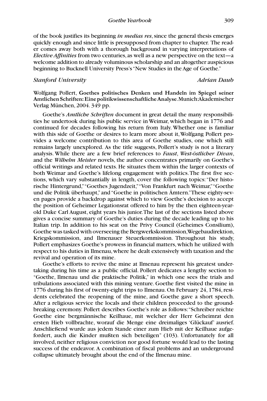of the book justifies its beginning *in medias res*, since the general thesis emerges quickly enough and since little is presupposed from chapter to chapter. The reader comes away both with a thorough background in varying interpretations of *Elective Affinities* from two centuries, as well as a new perspective on the text—a welcome addition to already voluminous scholarship and an altogether auspicious beginning to Bucknell University Press's "New Studies in the Age of Goethe."

## *Stanford University Adrian Daub*

Wolfgang Pollert, **Goethes politisches Denken und Handeln im Spiegel seiner Amtlichen Schriften: Eine politikwissenschaftliche Analyse**. Munich: Akademischer Verlag München, 2004. 349 pp.

Goethe's *Amtliche Schriften* document in great detail the many responsibilities he undertook during his public service in Weimar, which began in 1776 and continued for decades following his return from Italy. Whether one is familiar with this side of Goethe or desires to learn more about it, Wolfgang Pollert provides a welcome contribution to this area of Goethe studies, one which still remains largely unexplored. As the title suggests, Pollert's study is not a literary analysis. While there are a few brief references to *Faust*, *West-östlicher Divan*, and the *Wilhelm Meister* novels, the author concentrates primarily on Goethe's official writings and related texts. He situates them within the larger contexts of both Weimar and Goethe's lifelong engagement with politics. The first five sections, which vary substantially in length, cover the following topics: "Der historische Hintergrund," "Goethes Jugendzeit," "Von Frankfurt nach Weimar," "Goethe und die Politik überhaupt," and "Goethe in politischen Ämtern." These eighty-seven pages provide a backdrop against which to view Goethe's decision to accept the position of Geheimer Legationsrat offered to him by the then eighteen-yearold Duke Carl August, eight years his junior. The last of the sections listed above gives a concise summary of Goethe's duties during the decade leading up to his Italian trip. In addition to his seat on the Privy Council (Geheimes Consilium), Goethe was tasked with overseeing the Bergwerkskommission, Wegebaudirektion, Kriegskommission, and Ilmenauer Steuerkommission. Throughout his study, Pollert emphasizes Goethe's prowess in financial matters, which he utilized with respect to his duties in Ilmenau, where he dealt extensively with taxation and the revival and operation of its mine.

Goethe's efforts to revive the mine at Ilmenau represent his greatest undertaking during his time as a public official. Pollert dedicates a lengthy section to "Goethe, Ilmenau und die praktische Politik," in which one sees the trials and tribulations associated with this mining venture. Goethe first visited the mine in 1776 during his first of twenty-eight trips to Ilmenau. On February 24, 1784, residents celebrated the reopening of the mine, and Goethe gave a short speech. After a religious service the locals and their children proceeded to the groundbreaking ceremony. Pollert describes Goethe's role as follows: "Schreiber reichte Goethe eine bergmännische Keilhaue, mit welcher der Herr Geheimrat den ersten Hieb vollbrachte, worauf die Menge eine dreimaliges 'Glückauf' ausrief. Anschließend wurde aus jedem Stande einer zum Hieb mit der Keilhaue aufgefordert, auch die Kinder mußten sich beteiligen" (103). Unfortunately for all involved, neither religious conviction nor good fortune would lead to the lasting success of the endeavor. A combination of fiscal problems and an underground collapse ultimately brought about the end of the Ilmenau mine.